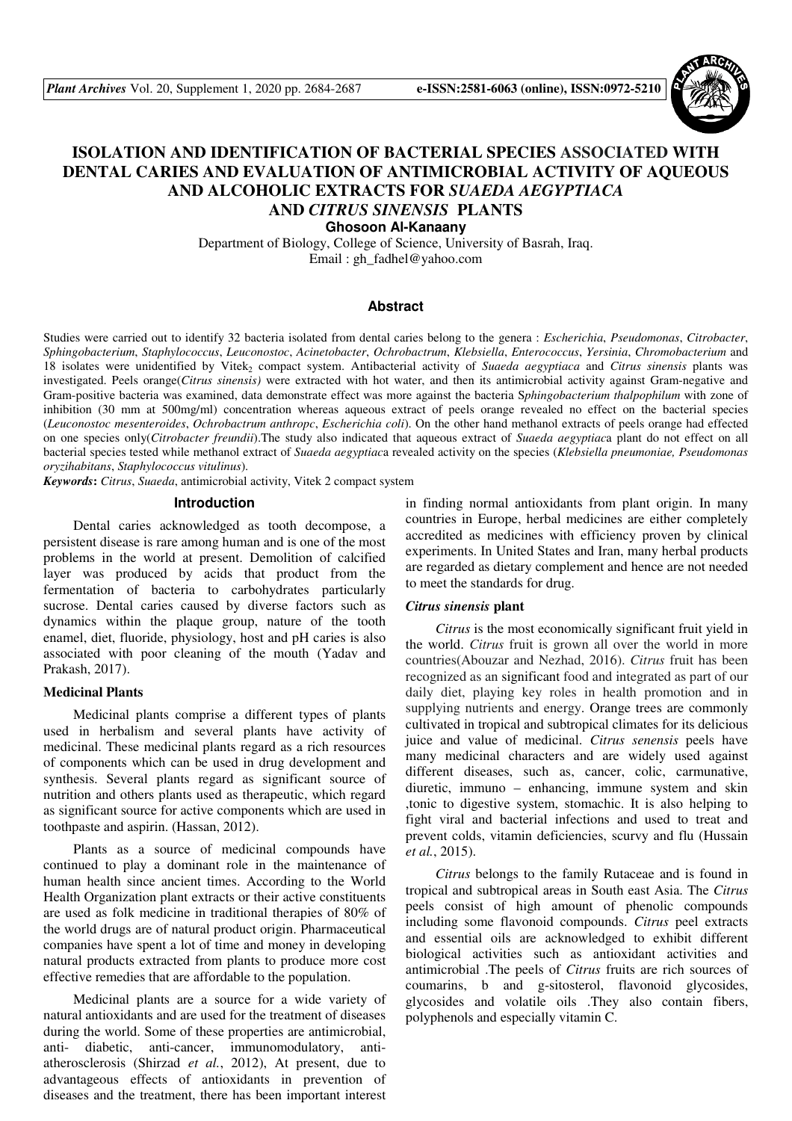

# **ISOLATION AND IDENTIFICATION OF BACTERIAL SPECIES ASSOCIATED WITH DENTAL CARIES AND EVALUATION OF ANTIMICROBIAL ACTIVITY OF AQUEOUS AND ALCOHOLIC EXTRACTS FOR** *SUAEDA AEGYPTIACA*  **AND** *CITRUS SINENSIS* **PLANTS**

**Ghosoon Al-Kanaany** 

Department of Biology, College of Science, University of Basrah, Iraq. Email : gh\_fadhel@yahoo.com

#### **Abstract**

Studies were carried out to identify 32 bacteria isolated from dental caries belong to the genera : *Escherichia*, *Pseudomonas*, *Citrobacter*, *Sphingobacterium*, *Staphylococcus*, *Leuconostoc*, *Acinetobacter*, *Ochrobactrum*, *Klebsiella*, *Enterococcus*, *Yersinia*, *Chromobacterium* and 18 isolates were unidentified by Vitek<sub>2</sub> compact system. Antibacterial activity of *Suaeda aegyptiaca* and *Citrus sinensis* plants was investigated. Peels orange(*Citrus sinensis)* were extracted with hot water, and then its antimicrobial activity against Gram-negative and Gram-positive bacteria was examined, data demonstrate effect was more against the bacteria S*phingobacterium thalpophilum* with zone of inhibition (30 mm at 500mg/ml) concentration whereas aqueous extract of peels orange revealed no effect on the bacterial species (*Leuconostoc mesenteroides*, *Ochrobactrum anthropc*, *Escherichia coli*). On the other hand methanol extracts of peels orange had effected on one species only(*Citrobacter freundii*).The study also indicated that aqueous extract of *Suaeda aegyptiac*a plant do not effect on all bacterial species tested while methanol extract of *Suaeda aegyptiac*a revealed activity on the species (*Klebsiella pneumoniae, Pseudomonas oryzihabitans*, *Staphylococcus vitulinus*).

*Keywords***:** *Citrus*, *Suaeda*, antimicrobial activity, Vitek 2 compact system

#### **Introduction**

Dental caries acknowledged as tooth decompose, a persistent disease is rare among human and is one of the most problems in the world at present. Demolition of calcified layer was produced by acids that product from the fermentation of bacteria to carbohydrates particularly sucrose. Dental caries caused by diverse factors such as dynamics within the plaque group, nature of the tooth enamel, diet, fluoride, physiology, host and pH caries is also associated with poor cleaning of the mouth (Yadav and Prakash, 2017).

#### **Medicinal Plants**

Medicinal plants comprise a different types of plants used in herbalism and several plants have activity of medicinal. These medicinal plants regard as a rich resources of components which can be used in drug development and synthesis. Several plants regard as significant source of nutrition and others plants used as therapeutic, which regard as significant source for active components which are used in toothpaste and aspirin. (Hassan, 2012).

Plants as a source of medicinal compounds have continued to play a dominant role in the maintenance of human health since ancient times. According to the World Health Organization plant extracts or their active constituents are used as folk medicine in traditional therapies of 80% of the world drugs are of natural product origin. Pharmaceutical companies have spent a lot of time and money in developing natural products extracted from plants to produce more cost effective remedies that are affordable to the population.

Medicinal plants are a source for a wide variety of natural antioxidants and are used for the treatment of diseases during the world. Some of these properties are antimicrobial, anti- diabetic, anti-cancer, immunomodulatory, antiatherosclerosis (Shirzad *et al.*, 2012), At present, due to advantageous effects of antioxidants in prevention of diseases and the treatment, there has been important interest in finding normal antioxidants from plant origin. In many countries in Europe, herbal medicines are either completely accredited as medicines with efficiency proven by clinical experiments. In United States and Iran, many herbal products are regarded as dietary complement and hence are not needed to meet the standards for drug.

#### *Citrus sinensis* **plant**

*Citrus* is the most economically significant fruit yield in the world. *Citrus* fruit is grown all over the world in more countries(Abouzar and Nezhad, 2016). *Citrus* fruit has been recognized as an significant food and integrated as part of our daily diet, playing key roles in health promotion and in supplying nutrients and energy. Orange trees are commonly cultivated in tropical and subtropical climates for its delicious juice and value of medicinal. *Citrus senensis* peels have many medicinal characters and are widely used against different diseases, such as, cancer, colic, carmunative, diuretic, immuno – enhancing, immune system and skin ,tonic to digestive system, stomachic. It is also helping to fight viral and bacterial infections and used to treat and prevent colds, vitamin deficiencies, scurvy and flu (Hussain *et al.*, 2015).

*Citrus* belongs to the family Rutaceae and is found in tropical and subtropical areas in South east Asia. The *Citrus*  peels consist of high amount of phenolic compounds including some flavonoid compounds. *Citrus* peel extracts and essential oils are acknowledged to exhibit different biological activities such as antioxidant activities and antimicrobial .The peels of *Citrus* fruits are rich sources of coumarins, b and g-sitosterol, flavonoid glycosides, glycosides and volatile oils .They also contain fibers, polyphenols and especially vitamin C.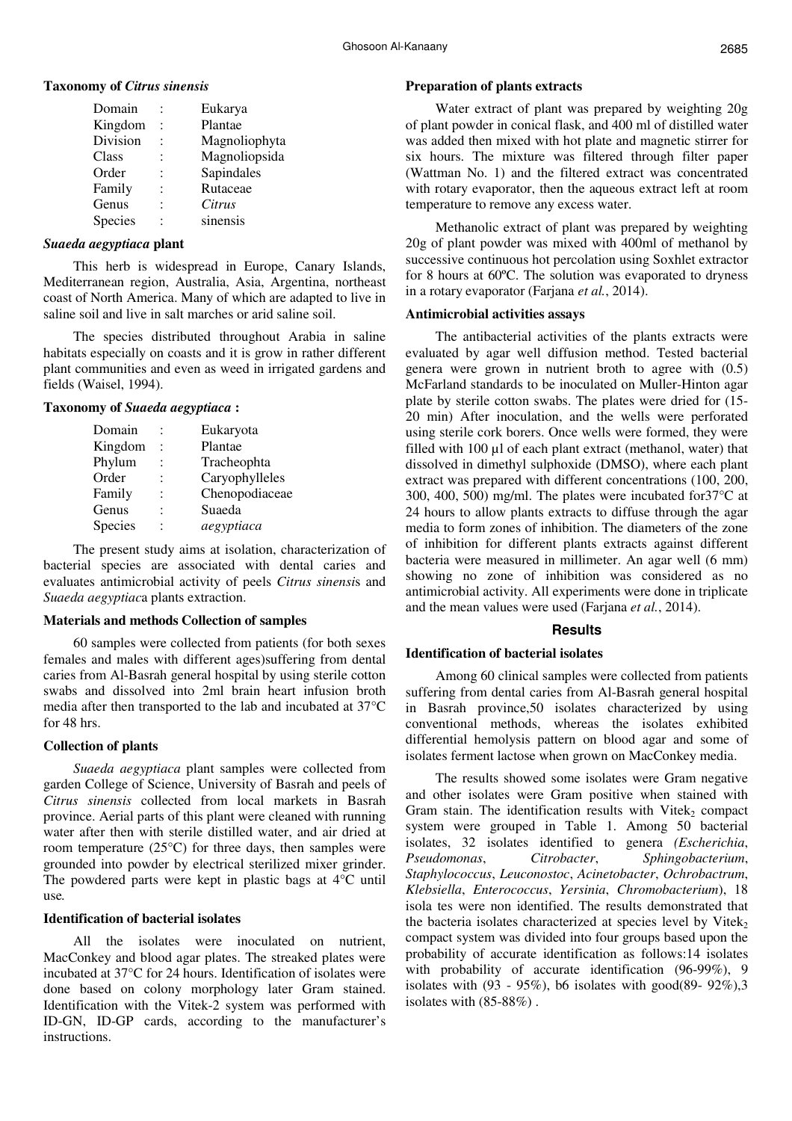### **Taxonomy of** *Citrus sinensis*

| Eukarya       |
|---------------|
| Plantae       |
| Magnoliophyta |
| Magnoliopsida |
| Sapindales    |
| Rutaceae      |
| Citrus        |
| sinensis      |
|               |

### *Suaeda aegyptiaca* **plant**

This herb is widespread in Europe, Canary Islands, Mediterranean region, Australia, Asia, Argentina, northeast coast of North America. Many of which are adapted to live in saline soil and live in salt marches or arid saline soil.

The species distributed throughout Arabia in saline habitats especially on coasts and it is grow in rather different plant communities and even as weed in irrigated gardens and fields (Waisel, 1994).

# **Taxonomy of** *Suaeda aegyptiaca* **:**

| Domain         | Eukaryota      |
|----------------|----------------|
| Kingdom        | Plantae        |
| Phylum         | Tracheophta    |
| Order          | Caryophylleles |
| Family         | Chenopodiaceae |
| Genus          | Suaeda         |
| <b>Species</b> | aegyptiaca     |
|                |                |

The present study aims at isolation, characterization of bacterial species are associated with dental caries and evaluates antimicrobial activity of peels *Citrus sinensi*s and *Suaeda aegyptiac*a plants extraction.

# **Materials and methods Collection of samples**

60 samples were collected from patients (for both sexes females and males with different ages)suffering from dental caries from Al-Basrah general hospital by using sterile cotton swabs and dissolved into 2ml brain heart infusion broth media after then transported to the lab and incubated at 37°C for 48 hrs.

# **Collection of plants**

*Suaeda aegyptiaca* plant samples were collected from garden College of Science, University of Basrah and peels of *Citrus sinensis* collected from local markets in Basrah province. Aerial parts of this plant were cleaned with running water after then with sterile distilled water, and air dried at room temperature (25°C) for three days, then samples were grounded into powder by electrical sterilized mixer grinder. The powdered parts were kept in plastic bags at 4°C until use*.* 

# **Identification of bacterial isolates**

All the isolates were inoculated on nutrient, MacConkey and blood agar plates. The streaked plates were incubated at 37°C for 24 hours. Identification of isolates were done based on colony morphology later Gram stained. Identification with the Vitek-2 system was performed with ID-GN, ID-GP cards, according to the manufacturer's instructions.

## **Preparation of plants extracts**

Water extract of plant was prepared by weighting 20g of plant powder in conical flask, and 400 ml of distilled water was added then mixed with hot plate and magnetic stirrer for six hours. The mixture was filtered through filter paper (Wattman No. 1) and the filtered extract was concentrated with rotary evaporator, then the aqueous extract left at room temperature to remove any excess water.

Methanolic extract of plant was prepared by weighting 20g of plant powder was mixed with 400ml of methanol by successive continuous hot percolation using Soxhlet extractor for 8 hours at 60ºC. The solution was evaporated to dryness in a rotary evaporator (Farjana *et al.*, 2014).

## **Antimicrobial activities assays**

The antibacterial activities of the plants extracts were evaluated by agar well diffusion method. Tested bacterial genera were grown in nutrient broth to agree with (0.5) McFarland standards to be inoculated on Muller-Hinton agar plate by sterile cotton swabs. The plates were dried for (15- 20 min) After inoculation, and the wells were perforated using sterile cork borers. Once wells were formed, they were filled with 100 µl of each plant extract (methanol, water) that dissolved in dimethyl sulphoxide (DMSO), where each plant extract was prepared with different concentrations (100, 200, 300, 400, 500) mg/ml. The plates were incubated for37°C at 24 hours to allow plants extracts to diffuse through the agar media to form zones of inhibition. The diameters of the zone of inhibition for different plants extracts against different bacteria were measured in millimeter. An agar well (6 mm) showing no zone of inhibition was considered as no antimicrobial activity. All experiments were done in triplicate and the mean values were used (Farjana *et al.*, 2014).

# **Results**

# **Identification of bacterial isolates**

Among 60 clinical samples were collected from patients suffering from dental caries from Al-Basrah general hospital in Basrah province,50 isolates characterized by using conventional methods, whereas the isolates exhibited differential hemolysis pattern on blood agar and some of isolates ferment lactose when grown on MacConkey media.

The results showed some isolates were Gram negative and other isolates were Gram positive when stained with Gram stain. The identification results with Vitek<sub>2</sub> compact system were grouped in Table 1. Among 50 bacterial isolates, 32 isolates identified to genera *(Escherichia*, *Pseudomonas*, *Citrobacter*, *Sphingobacterium*, *Staphylococcus*, *Leuconostoc*, *Acinetobacter*, *Ochrobactrum*, *Klebsiella*, *Enterococcus*, *Yersinia*, *Chromobacterium*), 18 isola tes were non identified. The results demonstrated that the bacteria isolates characterized at species level by Vitek $_2$ compact system was divided into four groups based upon the probability of accurate identification as follows:14 isolates with probability of accurate identification (96-99%), 9 isolates with  $(93 - 95\%)$ , b6 isolates with good $(89 - 92\%)$ , 3 isolates with (85-88%) .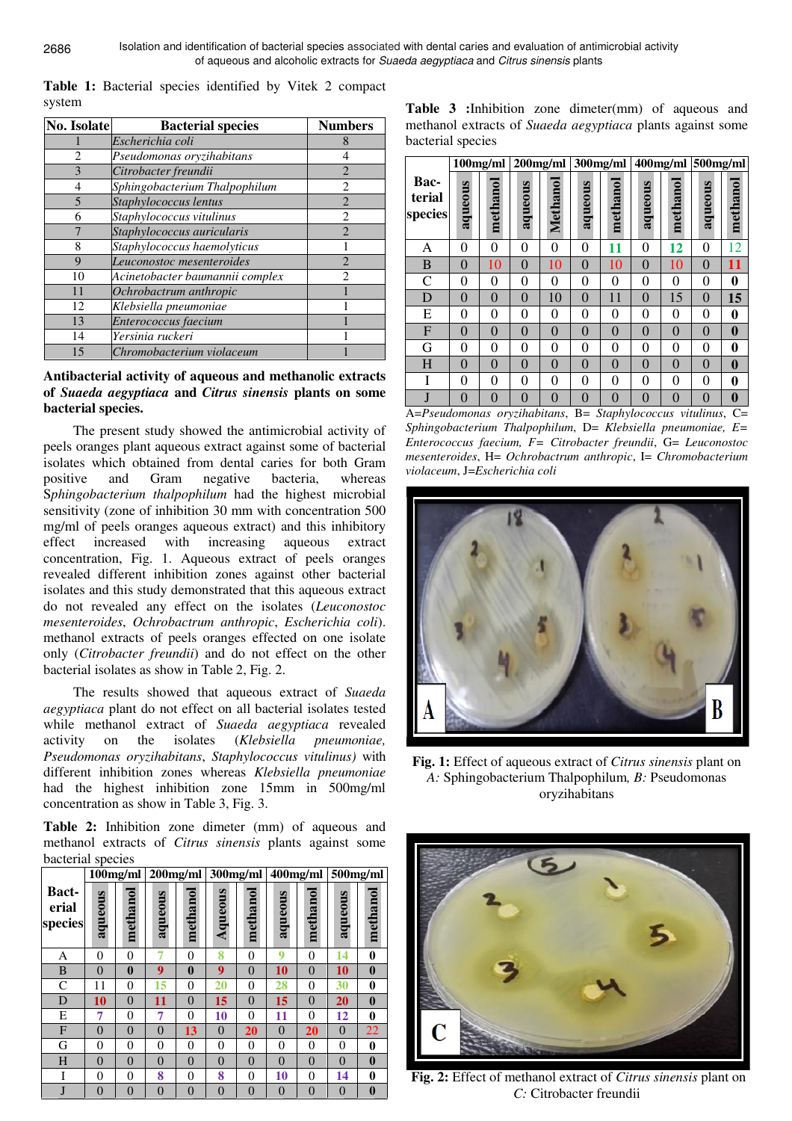**Table 1:** Bacterial species identified by Vitek 2 compact system

| No. Isolate | <b>Bacterial species</b>        | <b>Numbers</b> |  |  |
|-------------|---------------------------------|----------------|--|--|
|             | Escherichia coli                | 8              |  |  |
| 2           | Pseudomonas oryzihabitans       | 4              |  |  |
| 3           | Citrobacter freundii            | $\overline{2}$ |  |  |
| 4           | Sphingobacterium Thalpophilum   | $\mathfrak{D}$ |  |  |
| 5           | Staphylococcus lentus           | $\overline{2}$ |  |  |
| 6           | Staphylococcus vitulinus        | $\overline{2}$ |  |  |
|             | Staphylococcus auricularis      | $\mathfrak{D}$ |  |  |
| 8           | Staphylococcus haemolyticus     |                |  |  |
| 9           | Leuconostoc mesenteroides       | $\mathfrak{D}$ |  |  |
| 10          | Acinetobacter baumannii complex | $\mathfrak{D}$ |  |  |
| 11          | Ochrobactrum anthropic          |                |  |  |
| 12          | Klebsiella pneumoniae           |                |  |  |
| 13          | Enterococcus faecium            |                |  |  |
| 14          | Yersinia ruckeri                |                |  |  |
| 15          | Chromobacterium violaceum       |                |  |  |

## **Antibacterial activity of aqueous and methanolic extracts of** *Suaeda aegyptiaca* **and** *Citrus sinensis* **plants on some bacterial species.**

The present study showed the antimicrobial activity of peels oranges plant aqueous extract against some of bacterial isolates which obtained from dental caries for both Gram positive and Gram negative bacteria, whereas S*phingobacterium thalpophilum* had the highest microbial sensitivity (zone of inhibition 30 mm with concentration 500 mg/ml of peels oranges aqueous extract) and this inhibitory effect increased with increasing aqueous extract concentration, Fig. 1. Aqueous extract of peels oranges revealed different inhibition zones against other bacterial isolates and this study demonstrated that this aqueous extract do not revealed any effect on the isolates (*Leuconostoc mesenteroides*, *Ochrobactrum anthropic*, *Escherichia coli*). methanol extracts of peels oranges effected on one isolate only (*Citrobacter freundii*) and do not effect on the other bacterial isolates as show in Table 2, Fig. 2.

The results showed that aqueous extract of *Suaeda aegyptiaca* plant do not effect on all bacterial isolates tested while methanol extract of *Suaeda aegyptiaca* revealed activity on the isolates (*Klebsiella pneumoniae, Pseudomonas oryzihabitans*, *Staphylococcus vitulinus)* with different inhibition zones whereas *Klebsiella pneumoniae*  had the highest inhibition zone 15mm in 500mg/ml concentration as show in Table 3, Fig. 3.

**Table 2:** Inhibition zone dimeter (mm) of aqueous and methanol extracts of *Citrus sinensis* plants against some bacterial species

|                                  | $100$ mg/ml |                | $200$ mg/ml    |                | 300mg/ml       |                | 400mg/ml       |          | 500mg/ml       |              |
|----------------------------------|-------------|----------------|----------------|----------------|----------------|----------------|----------------|----------|----------------|--------------|
| <b>Bact-</b><br>erial<br>species | aqueous     | methanol       | aqueous        | methanol       | Aqueous        | methanol       | aqueous        | methanol | aqueous        | methano      |
| Α                                | $\theta$    | $\theta$       |                | $\overline{0}$ | 8              | 0              | 9              | 0        | 14             | $\bf{0}$     |
| B                                | $\theta$    | $\bf{0}$       | 9              | $\mathbf{0}$   | 9              | $\theta$       | 10             | $\theta$ | 10             | $\mathbf{0}$ |
| C                                | 11          | $\theta$       | 15             | $\overline{0}$ | 20             | 0              | 28             | 0        | 30             | $\bf{0}$     |
| D                                | 10          | $\theta$       | 11             | $\theta$       | 15             | $\overline{0}$ | 15             | $\theta$ | 20             | $\mathbf{0}$ |
| E                                | 7           | $\Omega$       | 7              | $\theta$       | 10             | 0              | 11             | 0        | 12             | $\bf{0}$     |
| F                                | $\Omega$    | $\overline{0}$ | $\overline{0}$ | 13             | $\overline{0}$ | 20             | $\overline{0}$ | 20       | $\overline{0}$ | 22           |
| G                                | $\theta$    | $\Omega$       | $\theta$       | $\theta$       | 0              | 0              | $\overline{0}$ | 0        | $\Omega$       | $\bf{0}$     |
| H                                | $\theta$    | $\theta$       | $\overline{0}$ | $\overline{0}$ | $\Omega$       | $\theta$       | $\theta$       | $\Omega$ | $\Omega$       | $\mathbf{0}$ |
| T                                | $\theta$    | $\theta$       | 8              | $\theta$       | 8              | 0              | 10             | 0        | 14             | $\bf{0}$     |
|                                  | $\Omega$    | $\Omega$       | $\overline{0}$ | $\theta$       | $\Omega$       | $\overline{0}$ | $\overline{0}$ | $\Omega$ | $\Omega$       | $\mathbf{0}$ |

**Table 3 :**Inhibition zone dimeter(mm) of aqueous and methanol extracts of *Suaeda aegyptiaca* plants against some bacterial species

|                           | 100mg/ml |          | $200$ mg/ml    |          | 300mg/ml |                |                |          | 400mg/ml 500mg/ml |          |
|---------------------------|----------|----------|----------------|----------|----------|----------------|----------------|----------|-------------------|----------|
| Bac-<br>terial<br>species | aqueous  | methanol | aqueous        | Methanol | aqueous  | methanol       | aqueous        | methanol | aqueous           | methanol |
| А                         | 0        | 0        | 0              | 0        | 0        | 11             | $\overline{0}$ | 12       | 0                 | 12       |
| B                         | $\theta$ | 10       | $\theta$       | 10       | $\Omega$ | 10             | $\theta$       | 10       | $\theta$          | 11       |
| $\overline{C}$            | $\theta$ | 0        | 0              | 0        | 0        | 0              | $\overline{0}$ | 0        | 0                 | 0        |
| D                         | $\theta$ | $\theta$ | $\theta$       | 10       | $\theta$ | 11             | $\theta$       | 15       | $\theta$          | 15       |
| E                         | $\theta$ | 0        | $\overline{0}$ | 0        | $\theta$ | $\theta$       | $\overline{0}$ | 0        | $\theta$          | 0        |
| $\mathbf{F}$              | $\theta$ | $\theta$ | $\theta$       | $\theta$ | $\theta$ | $\theta$       | $\theta$       | $\theta$ | $\theta$          | $\bf{0}$ |
| G                         | $\theta$ | 0        | $\overline{0}$ | 0        | $\theta$ | 0              | $\overline{0}$ | 0        | $\theta$          | 0        |
| H                         | $\theta$ | 0        | $\theta$       | 0        | $\Omega$ | $\theta$       | $\overline{0}$ | 0        | $\theta$          | $\bf{0}$ |
| Ī                         | 0        | $\theta$ | $\theta$       | 0        | 0        | $\theta$       | $\overline{0}$ | 0        | 0                 | 0        |
| J                         | $\theta$ | 0        | $\overline{0}$ | $\Omega$ | $\Omega$ | $\overline{0}$ | $\overline{0}$ | 0        | $\theta$          | $\bf{0}$ |

A=*Pseudomonas oryzihabitans*, B= *Staphylococcus vitulinus*, C= *Sphingobacterium Thalpophilum*, D= *Klebsiella pneumoniae, E= Enterococcus faecium, F= Citrobacter freundii*, G= *Leuconostoc mesenteroides*, H= *Ochrobactrum anthropic*, I= *Chromobacterium violaceum*, J=*Escherichia coli* 



**Fig. 1:** Effect of aqueous extract of *Citrus sinensis* plant on *A:* Sphingobacterium Thalpophilum*, B:* Pseudomonas oryzihabitans



 **Fig. 2:** Effect of methanol extract of *Citrus sinensis* plant on *C:* Citrobacter freundii